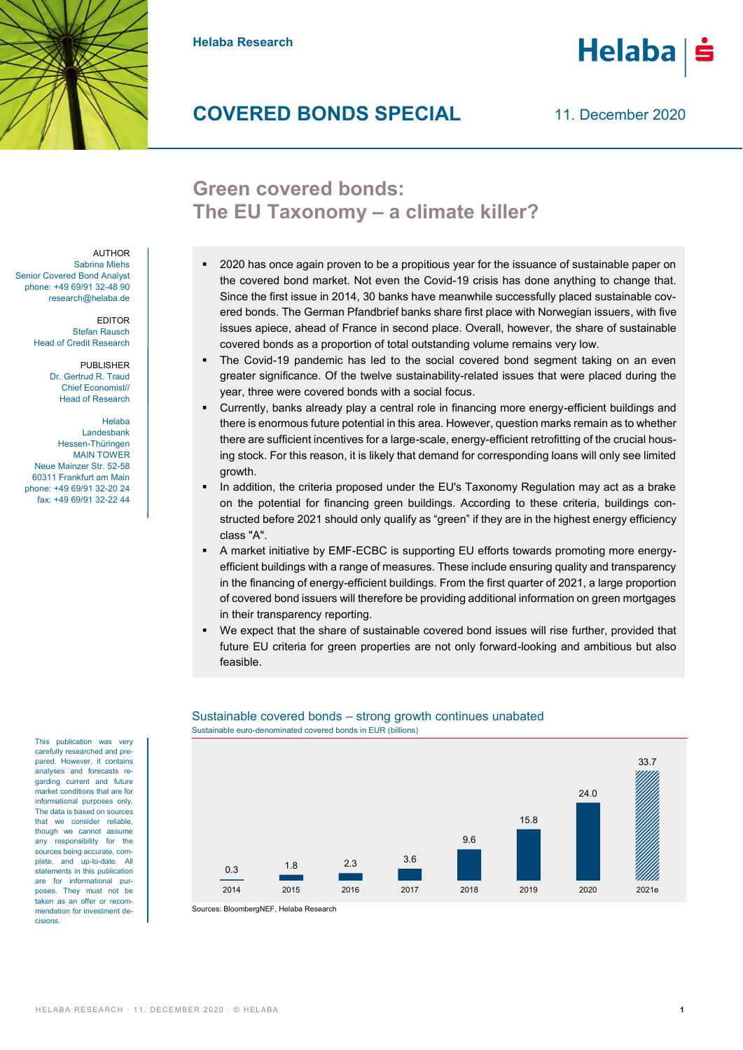

**Helaba Research**

# **COVERED BONDS SPECIAL**

11. December 2020

# **Green covered bonds: The EU Taxonomy – a climate killer?**

- 2020 has once again proven to be a propitious year for the issuance of sustainable paper on the covered bond market. Not even the Covid-19 crisis has done anything to change that. Since the first issue in 2014, 30 banks have meanwhile successfully placed sustainable covered bonds. The German Pfandbrief banks share first place with Norwegian issuers, with five issues apiece, ahead of France in second place. Overall, however, the share of sustainable covered bonds as a proportion of total outstanding volume remains very low.
- The Covid-19 pandemic has led to the social covered bond segment taking on an even greater significance. Of the twelve sustainability-related issues that were placed during the year, three were covered bonds with a social focus.
- Currently, banks already play a central role in financing more energy-efficient buildings and there is enormous future potential in this area. However, question marks remain as to whether there are sufficient incentives for a large-scale, energy-efficient retrofitting of the crucial housing stock. For this reason, it is likely that demand for corresponding loans will only see limited growth.
- In addition, the criteria proposed under the EU's Taxonomy Regulation may act as a brake on the potential for financing green buildings. According to these criteria, buildings constructed before 2021 should only qualify as "green" if they are in the highest energy efficiency class "A".
- A market initiative by EMF-ECBC is supporting EU efforts towards promoting more energyefficient buildings with a range of measures. These include ensuring quality and transparency in the financing of energy-efficient buildings. From the first quarter of 2021, a large proportion of covered bond issuers will therefore be providing additional information on green mortgages in their transparency reporting.
- We expect that the share of sustainable covered bond issues will rise further, provided that future EU criteria for green properties are not only forward-looking and ambitious but also feasible.



# Sustainable covered bonds – strong growth continues unabated Sustainable euro-denominated covered bonds in EUR (billions)

Sources: BloombergNEF, Helaba Research

AUTHOR Sabrina Miehs Senior Covered Bond Analyst phone: +49 69/91 32-48 90 research@helaba.de

> EDITOR Stefan Rausch Head of Credit Research

> > PUBLISHER Dr. Gertrud R. Traud Chief Economist// Head of Research

Helaba Landesbank Hessen-Thüringen MAIN TOWER Neue Mainzer Str. 52-58 60311 Frankfurt am Main phone: +49 69/91 32-20 24 fax: +49 69/91 32-22 44

This publication was very carefully researched and prepared. However, it contains analyses and forecasts regarding current and future market conditions that are for informational purposes only. The data is based on sources that we consider reliable, though we cannot assume any responsibility for the sources being accurate, complete, and up-to-date. All statements in this publication are for informational purposes. They must not be taken as an offer or recommendation for investment decisions.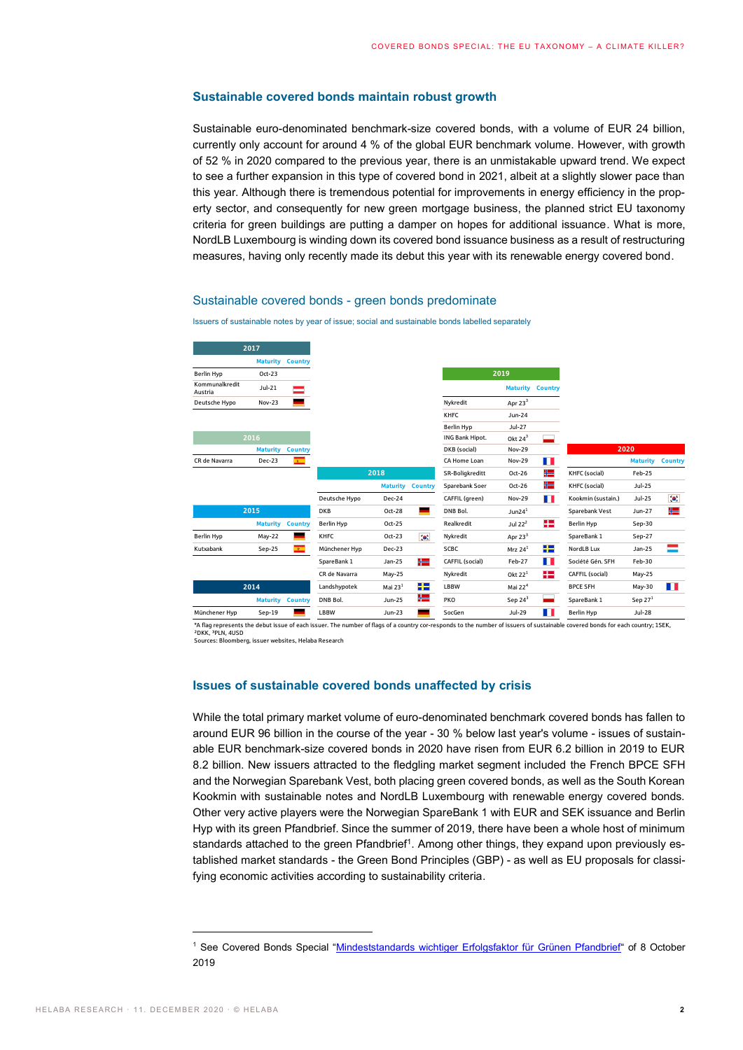# **Sustainable covered bonds maintain robust growth**

Sustainable euro-denominated benchmark-size covered bonds, with a volume of EUR 24 billion, currently only account for around 4 % of the global EUR benchmark volume. However, with growth of 52 % in 2020 compared to the previous year, there is an unmistakable upward trend. We expect to see a further expansion in this type of covered bond in 2021, albeit at a slightly slower pace than this year. Although there is tremendous potential for improvements in energy efficiency in the property sector, and consequently for new green mortgage business, the planned strict EU taxonomy criteria for green buildings are putting a damper on hopes for additional issuance. What is more, NordLB Luxembourg is winding down its covered bond issuance business as a result of restructuring measures, having only recently made its debut this year with its renewable energy covered bond.

# Sustainable covered bonds - green bonds predominate

Issuers of sustainable notes by year of issue; social and sustainable bonds labelled separately

|                                                                                                                                                                                                                                                                                                                                                                                                                                                                                                                                                                                                                                                                                                                                                                                                                                                                                                                                                                                                                                                                                                                                                                       | 2017            |                |                  |                         |                |                 |                     |                |                                                                                                                      |                            |                |
|-----------------------------------------------------------------------------------------------------------------------------------------------------------------------------------------------------------------------------------------------------------------------------------------------------------------------------------------------------------------------------------------------------------------------------------------------------------------------------------------------------------------------------------------------------------------------------------------------------------------------------------------------------------------------------------------------------------------------------------------------------------------------------------------------------------------------------------------------------------------------------------------------------------------------------------------------------------------------------------------------------------------------------------------------------------------------------------------------------------------------------------------------------------------------|-----------------|----------------|------------------|-------------------------|----------------|-----------------|---------------------|----------------|----------------------------------------------------------------------------------------------------------------------|----------------------------|----------------|
|                                                                                                                                                                                                                                                                                                                                                                                                                                                                                                                                                                                                                                                                                                                                                                                                                                                                                                                                                                                                                                                                                                                                                                       | <b>Maturity</b> | <b>Country</b> |                  |                         |                |                 |                     |                |                                                                                                                      |                            |                |
| <b>Berlin Hyp</b>                                                                                                                                                                                                                                                                                                                                                                                                                                                                                                                                                                                                                                                                                                                                                                                                                                                                                                                                                                                                                                                                                                                                                     | Oct-23          |                |                  |                         |                |                 | 2019                |                |                                                                                                                      |                            |                |
| Kommunalkredit<br>Austria                                                                                                                                                                                                                                                                                                                                                                                                                                                                                                                                                                                                                                                                                                                                                                                                                                                                                                                                                                                                                                                                                                                                             | Jul-21          |                |                  |                         |                |                 | <b>Maturity</b>     | <b>Country</b> |                                                                                                                      |                            |                |
| Deutsche Hypo                                                                                                                                                                                                                                                                                                                                                                                                                                                                                                                                                                                                                                                                                                                                                                                                                                                                                                                                                                                                                                                                                                                                                         | <b>Nov-23</b>   |                |                  |                         |                | Nykredit        | Apr $233$           |                |                                                                                                                      |                            |                |
|                                                                                                                                                                                                                                                                                                                                                                                                                                                                                                                                                                                                                                                                                                                                                                                                                                                                                                                                                                                                                                                                                                                                                                       |                 |                |                  |                         |                | KHFC            | <b>Jun-24</b>       |                |                                                                                                                      |                            |                |
|                                                                                                                                                                                                                                                                                                                                                                                                                                                                                                                                                                                                                                                                                                                                                                                                                                                                                                                                                                                                                                                                                                                                                                       |                 |                |                  |                         |                | Berlin Hyp      | Jul-27              |                |                                                                                                                      |                            |                |
|                                                                                                                                                                                                                                                                                                                                                                                                                                                                                                                                                                                                                                                                                                                                                                                                                                                                                                                                                                                                                                                                                                                                                                       | 2016            |                |                  |                         |                | ING Bank Hipot. | Okt $24^3$          |                |                                                                                                                      |                            |                |
|                                                                                                                                                                                                                                                                                                                                                                                                                                                                                                                                                                                                                                                                                                                                                                                                                                                                                                                                                                                                                                                                                                                                                                       | <b>Maturity</b> | <b>Country</b> |                  |                         |                | DKB (social)    | <b>Nov-29</b>       |                |                                                                                                                      | 2020                       |                |
| CR de Navarra                                                                                                                                                                                                                                                                                                                                                                                                                                                                                                                                                                                                                                                                                                                                                                                                                                                                                                                                                                                                                                                                                                                                                         | Dec-23          |                |                  |                         |                | CA Home Loan    | <b>Nov-29</b>       | . .            |                                                                                                                      | <b>Maturity</b>            | <b>Country</b> |
|                                                                                                                                                                                                                                                                                                                                                                                                                                                                                                                                                                                                                                                                                                                                                                                                                                                                                                                                                                                                                                                                                                                                                                       |                 |                |                  | 2018                    |                | SR-Boligkreditt | Oct-26              | ₩              | KHFC (social)                                                                                                        | Feb-25                     |                |
|                                                                                                                                                                                                                                                                                                                                                                                                                                                                                                                                                                                                                                                                                                                                                                                                                                                                                                                                                                                                                                                                                                                                                                       |                 |                |                  | <b>Maturity</b>         | <b>Country</b> | Sparebank Soer  | Oct-26              | ₩              | KHFC (social)                                                                                                        | <b>Jul-25</b>              |                |
|                                                                                                                                                                                                                                                                                                                                                                                                                                                                                                                                                                                                                                                                                                                                                                                                                                                                                                                                                                                                                                                                                                                                                                       |                 |                | Deutsche Hypo    | Dec-24                  |                | CAFFIL (green)  | <b>Nov-29</b>       | ш              | Kookmin (sustain.)                                                                                                   | <b>Jul-25</b>              | $\bullet.$     |
|                                                                                                                                                                                                                                                                                                                                                                                                                                                                                                                                                                                                                                                                                                                                                                                                                                                                                                                                                                                                                                                                                                                                                                       | 2015            |                | DKB              | Oct-28                  |                | DNB Bol.        | Jun2 $4^1$          |                | Sparebank Vest                                                                                                       | Jun-27                     | ₩              |
|                                                                                                                                                                                                                                                                                                                                                                                                                                                                                                                                                                                                                                                                                                                                                                                                                                                                                                                                                                                                                                                                                                                                                                       | <b>Maturity</b> | <b>Country</b> | Berlin Hyp       | Oct-25                  |                | Realkredit      | Jul $22^2$          | 42             | <b>Berlin Hyp</b>                                                                                                    | Sep-30                     |                |
| <b>Berlin Hyp</b>                                                                                                                                                                                                                                                                                                                                                                                                                                                                                                                                                                                                                                                                                                                                                                                                                                                                                                                                                                                                                                                                                                                                                     | May-22          | ▄              | KHFC             | Oct-23                  | $\bullet$      | Nykredit        | Apr $23^3$          |                | SpareBank 1                                                                                                          | Sep-27                     |                |
| Kutxabank                                                                                                                                                                                                                                                                                                                                                                                                                                                                                                                                                                                                                                                                                                                                                                                                                                                                                                                                                                                                                                                                                                                                                             | Sep-25          | $\mathbf{E}$   | Münchener Hyp    | <b>Dec-23</b>           |                | SCBC            | Mrz $241$           | 루는             | NordLB Lux                                                                                                           | <b>Jan-25</b>              |                |
|                                                                                                                                                                                                                                                                                                                                                                                                                                                                                                                                                                                                                                                                                                                                                                                                                                                                                                                                                                                                                                                                                                                                                                       |                 |                | SpareBank 1      | Jan-25                  | ₩              | CAFFIL (social) | Feb-27              | . .            | Société Gén. SFH                                                                                                     | Feb-30                     |                |
|                                                                                                                                                                                                                                                                                                                                                                                                                                                                                                                                                                                                                                                                                                                                                                                                                                                                                                                                                                                                                                                                                                                                                                       |                 |                | CR de Navarra    | May-25                  |                | Nykredit        | Okt $221$           | 22             | CAFFIL (social)                                                                                                      | May-25                     |                |
|                                                                                                                                                                                                                                                                                                                                                                                                                                                                                                                                                                                                                                                                                                                                                                                                                                                                                                                                                                                                                                                                                                                                                                       | 2014            |                | Landshypotek     | Mai $231$               | 22             | LBBW            | Mai $224$           |                | <b>BPCE SFH</b>                                                                                                      | May-30                     | . .            |
|                                                                                                                                                                                                                                                                                                                                                                                                                                                                                                                                                                                                                                                                                                                                                                                                                                                                                                                                                                                                                                                                                                                                                                       | <b>Maturity</b> | <b>Country</b> | DNB Bol.<br>LBBW | Jun-25<br><b>Jun-23</b> | ╬═             | PKO<br>SocGen   | Sep $243$<br>Jul-29 |                | SpareBank 1<br><b>Berlin Hyp</b>                                                                                     | Sep $271$<br><b>Jul-28</b> |                |
|                                                                                                                                                                                                                                                                                                                                                                                                                                                                                                                                                                                                                                                                                                                                                                                                                                                                                                                                                                                                                                                                                                                                                                       |                 |                |                  |                         |                |                 |                     |                |                                                                                                                      |                            |                |
| Issues of sustainable covered bonds unaffected by crisis<br>While the total primary market volume of euro-denominated benchmark covered bonds has fallen to<br>around EUR 96 billion in the course of the year - 30 % below last year's volume - issues of sustain-<br>able EUR benchmark-size covered bonds in 2020 have risen from EUR 6.2 billion in 2019 to EUR<br>8.2 billion. New issuers attracted to the fledgling market segment included the French BPCE SFH<br>and the Norwegian Sparebank Vest, both placing green covered bonds, as well as the South Korean<br>Kookmin with sustainable notes and NordLB Luxembourg with renewable energy covered bonds.<br>Other very active players were the Norwegian SpareBank 1 with EUR and SEK issuance and Berlin<br>Hyp with its green Pfandbrief. Since the summer of 2019, there have been a whole host of minimum<br>standards attached to the green Pfandbrief <sup>1</sup> . Among other things, they expand upon previously es-<br>tablished market standards - the Green Bond Principles (GBP) - as well as EU proposals for classi-<br>fying economic activities according to sustainability criteria. |                 |                |                  |                         |                |                 |                     |                |                                                                                                                      |                            |                |
| 2019                                                                                                                                                                                                                                                                                                                                                                                                                                                                                                                                                                                                                                                                                                                                                                                                                                                                                                                                                                                                                                                                                                                                                                  |                 |                |                  |                         |                |                 |                     |                | <sup>1</sup> See Covered Bonds Special "Mindeststandards wichtiger Erfolgsfaktor für Grünen Pfandbrief" of 8 October |                            |                |

### **Issues of sustainable covered bonds unaffected by crisis**

<sup>&</sup>lt;sup>1</sup> See Covered Bonds Special "[Mindeststandards wichtiger Erfolgsfaktor für Grünen Pfandbrief](https://www.helaba.de/blueprint/servlet/resource/blob/docs/506604/5c6a8b597c5a6782e6ebb3de742b2a34/covered-bonds-spezial-20191008-data.pdf)" of 8 October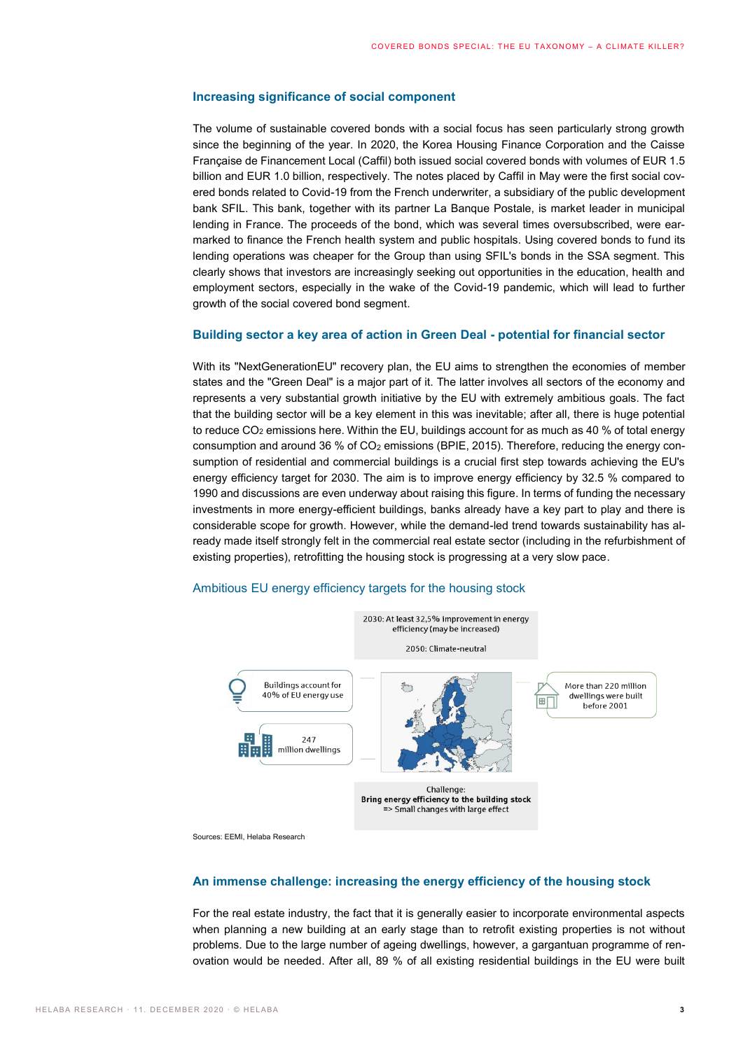# **Increasing significance of social component**

The volume of sustainable covered bonds with a social focus has seen particularly strong growth since the beginning of the year. In 2020, the Korea Housing Finance Corporation and the Caisse Française de Financement Local (Caffil) both issued social covered bonds with volumes of EUR 1.5 billion and EUR 1.0 billion, respectively. The notes placed by Caffil in May were the first social covered bonds related to Covid-19 from the French underwriter, a subsidiary of the public development bank SFIL. This bank, together with its partner La Banque Postale, is market leader in municipal lending in France. The proceeds of the bond, which was several times oversubscribed, were earmarked to finance the French health system and public hospitals. Using covered bonds to fund its lending operations was cheaper for the Group than using SFIL's bonds in the SSA segment. This clearly shows that investors are increasingly seeking out opportunities in the education, health and employment sectors, especially in the wake of the Covid-19 pandemic, which will lead to further growth of the social covered bond segment.

# **Building sector a key area of action in Green Deal - potential for financial sector**

With its "NextGenerationEU" recovery plan, the EU aims to strengthen the economies of member states and the "Green Deal" is a major part of it. The latter involves all sectors of the economy and represents a very substantial growth initiative by the EU with extremely ambitious goals. The fact that the building sector will be a key element in this was inevitable; after all, there is huge potential to reduce  $CO<sub>2</sub>$  emissions here. Within the EU, buildings account for as much as 40 % of total energy consumption and around 36 % of  $CO<sub>2</sub>$  emissions (BPIE, 2015). Therefore, reducing the energy consumption of residential and commercial buildings is a crucial first step towards achieving the EU's energy efficiency target for 2030. The aim is to improve energy efficiency by 32.5 % compared to 1990 and discussions are even underway about raising this figure. In terms of funding the necessary investments in more energy-efficient buildings, banks already have a key part to play and there is considerable scope for growth. However, while the demand-led trend towards sustainability has already made itself strongly felt in the commercial real estate sector (including in the refurbishment of existing properties), retrofitting the housing stock is progressing at a very slow pace.

# Ambitious EU energy efficiency targets for the housing stock



Sources: EEMI, Helaba Research

# **An immense challenge: increasing the energy efficiency of the housing stock**

For the real estate industry, the fact that it is generally easier to incorporate environmental aspects when planning a new building at an early stage than to retrofit existing properties is not without problems. Due to the large number of ageing dwellings, however, a gargantuan programme of renovation would be needed. After all, 89 % of all existing residential buildings in the EU were built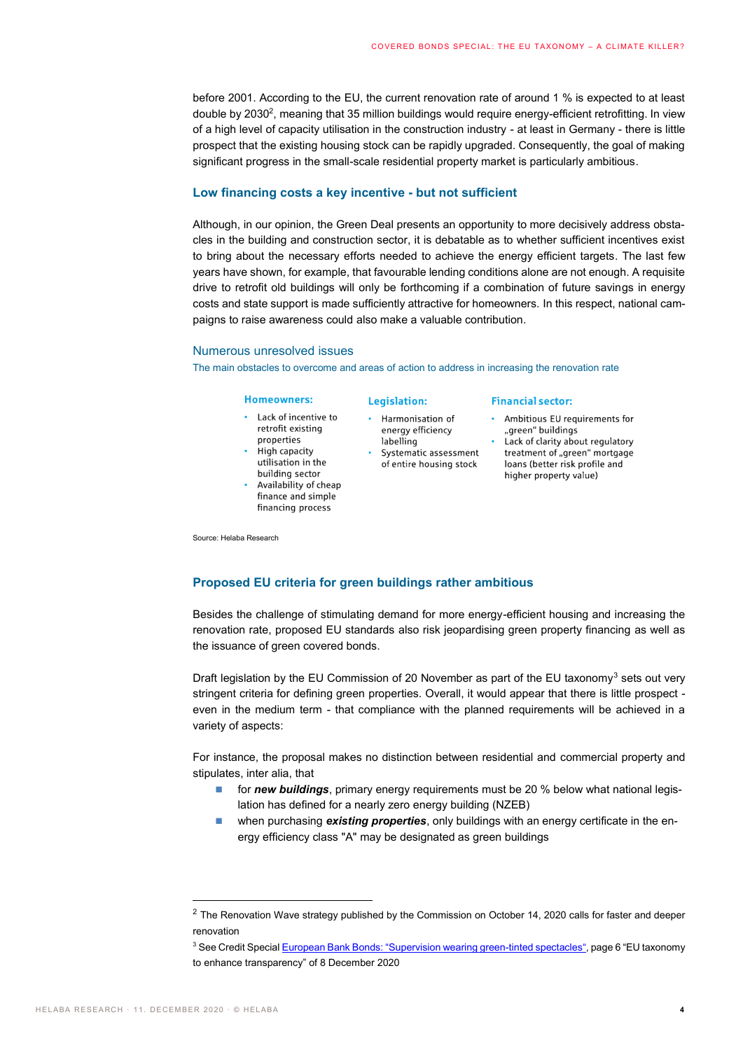before 2001. According to the EU, the current renovation rate of around 1 % is expected to at least double by 2030<sup>2</sup>, meaning that 35 million buildings would require energy-efficient retrofitting. In view of a high level of capacity utilisation in the construction industry - at least in Germany - there is little prospect that the existing housing stock can be rapidly upgraded. Consequently, the goal of making significant progress in the small-scale residential property market is particularly ambitious.

## **Low financing costs a key incentive - but not sufficient**

Although, in our opinion, the Green Deal presents an opportunity to more decisively address obstacles in the building and construction sector, it is debatable as to whether sufficient incentives exist to bring about the necessary efforts needed to achieve the energy efficient targets. The last few years have shown, for example, that favourable lending conditions alone are not enough. A requisite drive to retrofit old buildings will only be forthcoming if a combination of future savings in energy costs and state support is made sufficiently attractive for homeowners. In this respect, national campaigns to raise awareness could also make a valuable contribution.

# Numerous unresolved issues

The main obstacles to overcome and areas of action to address in increasing the renovation rate

#### **Homeowners:**

- Lack of incentive to retrofit existing properties
- High capacity utilisation in the
- building sector Availability of cheap finance and simple financing process

Source: Helaba Research

#### **Legislation:**

- Harmonisation of energy efficiency labelling
- · Systematic assessment of entire housing stock

#### **Financial sector:**

- Ambitious EU requirements for "green" buildings
- Lack of clarity about regulatory treatment of "green" mortgage loans (better risk profile and higher property value)

# **Proposed EU criteria for green buildings rather ambitious**

Besides the challenge of stimulating demand for more energy-efficient housing and increasing the renovation rate, proposed EU standards also risk jeopardising green property financing as well as the issuance of green covered bonds.

Draft legislation by the EU Commission of 20 November as part of the EU taxonomy<sup>3</sup> sets out very stringent criteria for defining green properties. Overall, it would appear that there is little prospect even in the medium term - that compliance with the planned requirements will be achieved in a variety of aspects:

For instance, the proposal makes no distinction between residential and commercial property and stipulates, inter alia, that

- **for** *new buildings*, primary energy requirements must be 20 % below what national legislation has defined for a nearly zero energy building (NZEB)
- **If** when purchasing **existing properties**, only buildings with an energy certificate in the energy efficiency class "A" may be designated as green buildings

 $2$  The Renovation Wave strategy published by the Commission on October 14, 2020 calls for faster and deeper renovation

<sup>&</sup>lt;sup>3</sup> See Credit Special European Bank Bonds: "[Supervision wearing green-tinted spectacles](https://www.helaba.de/blueprint/servlet/resource/blob/docs/540434/a90ad78075059a32ccc2b3b1c1f91b40/cs-20201208-data.pdf)", page 6 "EU taxonomy to enhance transparency" of 8 December 2020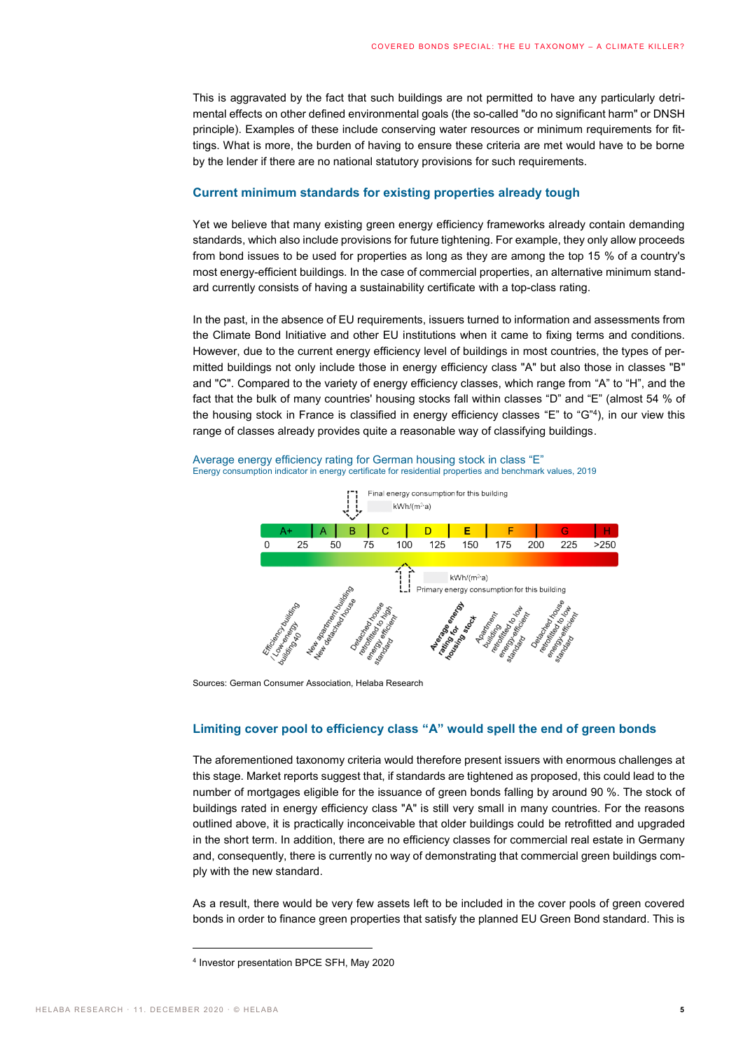This is aggravated by the fact that such buildings are not permitted to have any particularly detrimental effects on other defined environmental goals (the so-called "do no significant harm" or DNSH principle). Examples of these include conserving water resources or minimum requirements for fittings. What is more, the burden of having to ensure these criteria are met would have to be borne by the lender if there are no national statutory provisions for such requirements.

# **Current minimum standards for existing properties already tough**

Yet we believe that many existing green energy efficiency frameworks already contain demanding standards, which also include provisions for future tightening. For example, they only allow proceeds from bond issues to be used for properties as long as they are among the top 15 % of a country's most energy-efficient buildings. In the case of commercial properties, an alternative minimum standard currently consists of having a sustainability certificate with a top-class rating.

In the past, in the absence of EU requirements, issuers turned to information and assessments from the Climate Bond Initiative and other EU institutions when it came to fixing terms and conditions. However, due to the current energy efficiency level of buildings in most countries, the types of permitted buildings not only include those in energy efficiency class "A" but also those in classes "B" and "C". Compared to the variety of energy efficiency classes, which range from "A" to "H", and the fact that the bulk of many countries' housing stocks fall within classes "D" and "E" (almost 54 % of the housing stock in France is classified in energy efficiency classes "E" to "G"<sup>4</sup>), in our view this range of classes already provides quite a reasonable way of classifying buildings.

Average energy efficiency rating for German housing stock in class "E" Energy consumption indicator in energy certificate for residential properties and benchmark values, 2019



Sources: German Consumer Association, Helaba Research

# **Limiting cover pool to efficiency class "A" would spell the end of green bonds**

The aforementioned taxonomy criteria would therefore present issuers with enormous challenges at this stage. Market reports suggest that, if standards are tightened as proposed, this could lead to the number of mortgages eligible for the issuance of green bonds falling by around 90 %. The stock of buildings rated in energy efficiency class "A" is still very small in many countries. For the reasons outlined above, it is practically inconceivable that older buildings could be retrofitted and upgraded in the short term. In addition, there are no efficiency classes for commercial real estate in Germany and, consequently, there is currently no way of demonstrating that commercial green buildings comply with the new standard.

As a result, there would be very few assets left to be included in the cover pools of green covered bonds in order to finance green properties that satisfy the planned EU Green Bond standard. This is

<sup>4</sup> Investor presentation BPCE SFH, May 2020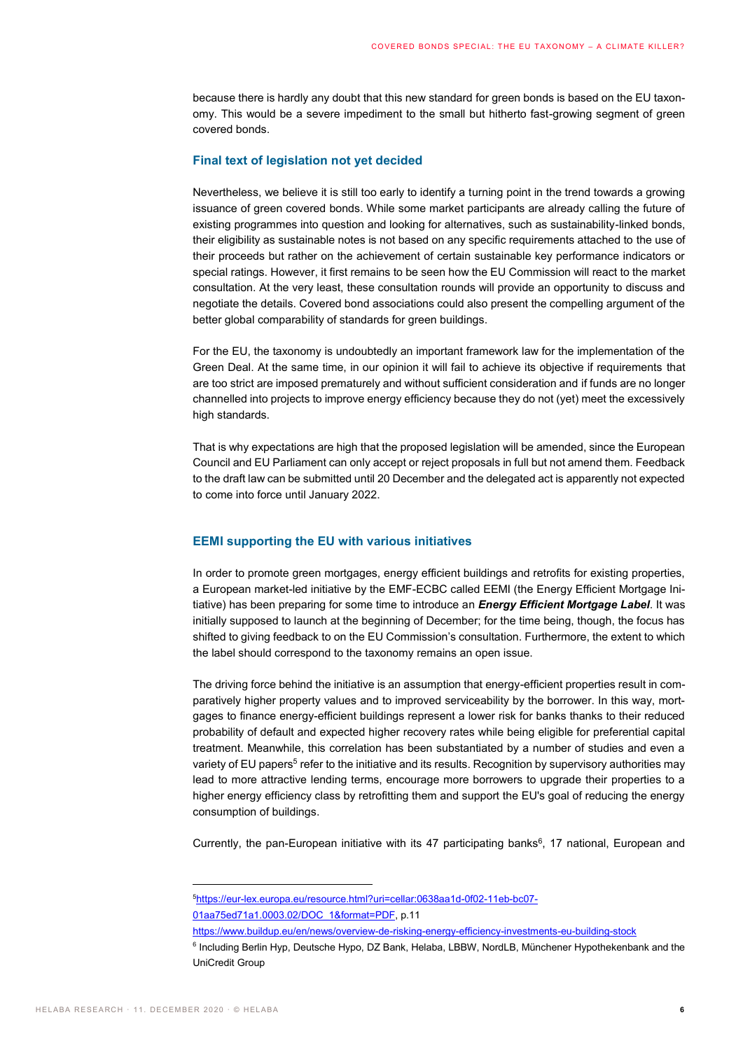because there is hardly any doubt that this new standard for green bonds is based on the EU taxonomy. This would be a severe impediment to the small but hitherto fast-growing segment of green covered bonds.

# **Final text of legislation not yet decided**

Nevertheless, we believe it is still too early to identify a turning point in the trend towards a growing issuance of green covered bonds. While some market participants are already calling the future of existing programmes into question and looking for alternatives, such as sustainability-linked bonds, their eligibility as sustainable notes is not based on any specific requirements attached to the use of their proceeds but rather on the achievement of certain sustainable key performance indicators or special ratings. However, it first remains to be seen how the EU Commission will react to the market consultation. At the very least, these consultation rounds will provide an opportunity to discuss and negotiate the details. Covered bond associations could also present the compelling argument of the better global comparability of standards for green buildings.

For the EU, the taxonomy is undoubtedly an important framework law for the implementation of the Green Deal. At the same time, in our opinion it will fail to achieve its objective if requirements that are too strict are imposed prematurely and without sufficient consideration and if funds are no longer channelled into projects to improve energy efficiency because they do not (yet) meet the excessively high standards.

That is why expectations are high that the proposed legislation will be amended, since the European Council and EU Parliament can only accept or reject proposals in full but not amend them. Feedback to the draft law can be submitted until 20 December and the delegated act is apparently not expected to come into force until January 2022.

# **EEMI supporting the EU with various initiatives**

In order to promote green mortgages, energy efficient buildings and retrofits for existing properties, a European market-led initiative by the EMF-ECBC called EEMI (the Energy Efficient Mortgage Initiative) has been preparing for some time to introduce an *Energy Efficient Mortgage Label*. It was initially supposed to launch at the beginning of December; for the time being, though, the focus has shifted to giving feedback to on the EU Commission's consultation. Furthermore, the extent to which the label should correspond to the taxonomy remains an open issue.

The driving force behind the initiative is an assumption that energy-efficient properties result in comparatively higher property values and to improved serviceability by the borrower. In this way, mortgages to finance energy-efficient buildings represent a lower risk for banks thanks to their reduced probability of default and expected higher recovery rates while being eligible for preferential capital treatment. Meanwhile, this correlation has been substantiated by a number of studies and even a variety of EU papers<sup>5</sup> refer to the initiative and its results. Recognition by supervisory authorities may lead to more attractive lending terms, encourage more borrowers to upgrade their properties to a higher energy efficiency class by retrofitting them and support the EU's goal of reducing the energy consumption of buildings.

Currently, the pan-European initiative with its  $47$  participating banks<sup>6</sup>, 17 national, European and

<sup>5</sup>[https://eur-lex.europa.eu/resource.html?uri=cellar:0638aa1d-0f02-11eb-bc07-](https://eur-lex.europa.eu/resource.html?uri=cellar:0638aa1d-0f02-11eb-bc07-01aa75ed71a1.0003.02/DOC_1&format=PDF) [01aa75ed71a1.0003.02/DOC\\_1&format=PDF,](https://eur-lex.europa.eu/resource.html?uri=cellar:0638aa1d-0f02-11eb-bc07-01aa75ed71a1.0003.02/DOC_1&format=PDF) p.11

https://www.buildup.eu/en/news/overview-de-risking-energy-efficiency-investments-eu-building-stock

<sup>&</sup>lt;sup>6</sup> Including Berlin Hyp, Deutsche Hypo, DZ Bank, Helaba, LBBW, NordLB, Münchener Hypothekenbank and the UniCredit Group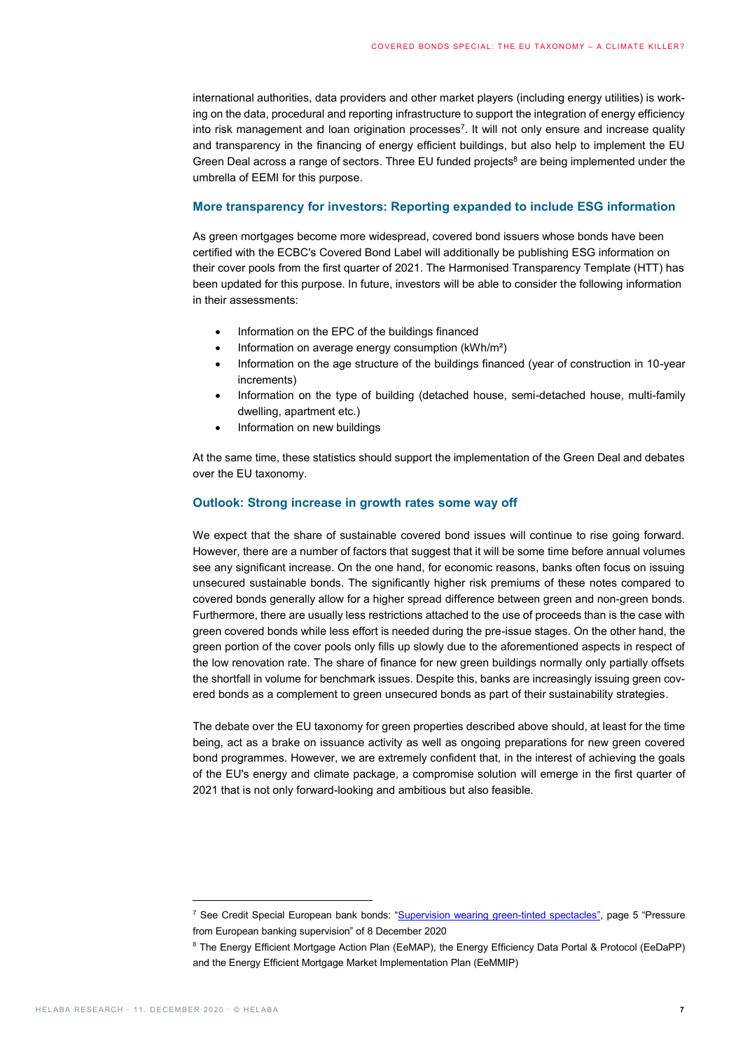international authorities, data providers and other market players (including energy utilities) is working on the data, procedural and reporting infrastructure to support the integration of energy efficiency into risk management and loan origination processes<sup>7</sup>. It will not only ensure and increase quality and transparency in the financing of energy efficient buildings, but also help to implement the EU Green Deal across a range of sectors. Three EU funded projects $\delta$  are being implemented under the umbrella of EEMI for this purpose.

# **More transparency for investors: Reporting expanded to include ESG information**

As green mortgages become more widespread, covered bond issuers whose bonds have been certified with the ECBC's Covered Bond Label will additionally be publishing ESG information on their cover pools from the first quarter of 2021. The Harmonised Transparency Template (HTT) has been updated for this purpose. In future, investors will be able to consider the following information in their assessments:

- Information on the EPC of the buildings financed
- Information on average energy consumption (kWh/m²)
- Information on the age structure of the buildings financed (year of construction in 10-year increments)
- Information on the type of building (detached house, semi-detached house, multi-family dwelling, apartment etc.)
- Information on new buildings

At the same time, these statistics should support the implementation of the Green Deal and debates over the EU taxonomy.

# **Outlook: Strong increase in growth rates some way off**

We expect that the share of sustainable covered bond issues will continue to rise going forward. However, there are a number of factors that suggest that it will be some time before annual volumes see any significant increase. On the one hand, for economic reasons, banks often focus on issuing unsecured sustainable bonds. The significantly higher risk premiums of these notes compared to covered bonds generally allow for a higher spread difference between green and non-green bonds. Furthermore, there are usually less restrictions attached to the use of proceeds than is the case with green covered bonds while less effort is needed during the pre-issue stages. On the other hand, the green portion of the cover pools only fills up slowly due to the aforementioned aspects in respect of the low renovation rate. The share of finance for new green buildings normally only partially offsets the shortfall in volume for benchmark issues. Despite this, banks are increasingly issuing green covered bonds as a complement to green unsecured bonds as part of their sustainability strategies.

The debate over the EU taxonomy for green properties described above should, at least for the time being, act as a brake on issuance activity as well as ongoing preparations for new green covered bond programmes. However, we are extremely confident that, in the interest of achieving the goals of the EU's energy and climate package, a compromise solution will emerge in the first quarter of 2021 that is not only forward-looking and ambitious but also feasible.

<sup>&</sup>lt;sup>7</sup> See Credit Special European bank bonds: "[Supervision wearing green-tinted spectacles](https://www.helaba.de/blueprint/servlet/resource/blob/docs/540434/a90ad78075059a32ccc2b3b1c1f91b40/cs-20201208-data.pdf)", page 5 "Pressure from European banking supervision" of 8 December 2020

<sup>&</sup>lt;sup>8</sup> The Energy Efficient Mortgage Action Plan (EeMAP), the Energy Efficiency Data Portal & Protocol (EeDaPP) and the Energy Efficient Mortgage Market Implementation Plan (EeMMIP)